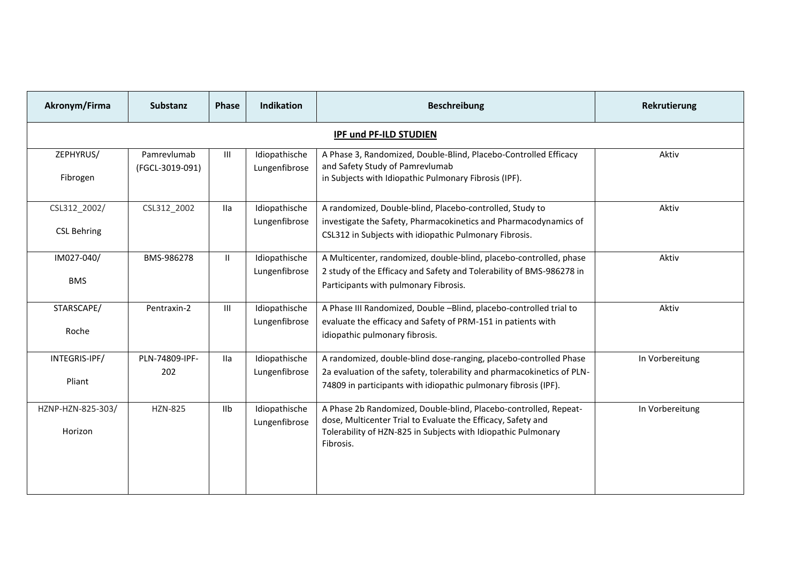| Akronym/Firma                      | <b>Substanz</b>                | Phase          | <b>Indikation</b>              | <b>Beschreibung</b>                                                                                                                                                                                            | Rekrutierung    |  |  |  |  |
|------------------------------------|--------------------------------|----------------|--------------------------------|----------------------------------------------------------------------------------------------------------------------------------------------------------------------------------------------------------------|-----------------|--|--|--|--|
| <b>IPF und PF-ILD STUDIEN</b>      |                                |                |                                |                                                                                                                                                                                                                |                 |  |  |  |  |
| ZEPHYRUS/<br>Fibrogen              | Pamrevlumab<br>(FGCL-3019-091) | $\mathbf{III}$ | Idiopathische<br>Lungenfibrose | A Phase 3, Randomized, Double-Blind, Placebo-Controlled Efficacy<br>and Safety Study of Pamrevlumab<br>in Subjects with Idiopathic Pulmonary Fibrosis (IPF).                                                   | Aktiv           |  |  |  |  |
| CSL312_2002/<br><b>CSL Behring</b> | CSL312 2002                    | <b>Ila</b>     | Idiopathische<br>Lungenfibrose | A randomized, Double-blind, Placebo-controlled, Study to<br>investigate the Safety, Pharmacokinetics and Pharmacodynamics of<br>CSL312 in Subjects with idiopathic Pulmonary Fibrosis.                         | Aktiv           |  |  |  |  |
| IM027-040/<br><b>BMS</b>           | BMS-986278                     | Ш.             | Idiopathische<br>Lungenfibrose | A Multicenter, randomized, double-blind, placebo-controlled, phase<br>2 study of the Efficacy and Safety and Tolerability of BMS-986278 in<br>Participants with pulmonary Fibrosis.                            | Aktiv           |  |  |  |  |
| STARSCAPE/<br>Roche                | Pentraxin-2                    | III            | Idiopathische<br>Lungenfibrose | A Phase III Randomized, Double -Blind, placebo-controlled trial to<br>evaluate the efficacy and Safety of PRM-151 in patients with<br>idiopathic pulmonary fibrosis.                                           | Aktiv           |  |  |  |  |
| INTEGRIS-IPF/<br>Pliant            | PLN-74809-IPF-<br>202          | <b>Ila</b>     | Idiopathische<br>Lungenfibrose | A randomized, double-blind dose-ranging, placebo-controlled Phase<br>2a evaluation of the safety, tolerability and pharmacokinetics of PLN-<br>74809 in participants with idiopathic pulmonary fibrosis (IPF). | In Vorbereitung |  |  |  |  |
| HZNP-HZN-825-303/<br>Horizon       | <b>HZN-825</b>                 | I <sub>1</sub> | Idiopathische<br>Lungenfibrose | A Phase 2b Randomized, Double-blind, Placebo-controlled, Repeat-<br>dose, Multicenter Trial to Evaluate the Efficacy, Safety and<br>Tolerability of HZN-825 in Subjects with Idiopathic Pulmonary<br>Fibrosis. | In Vorbereitung |  |  |  |  |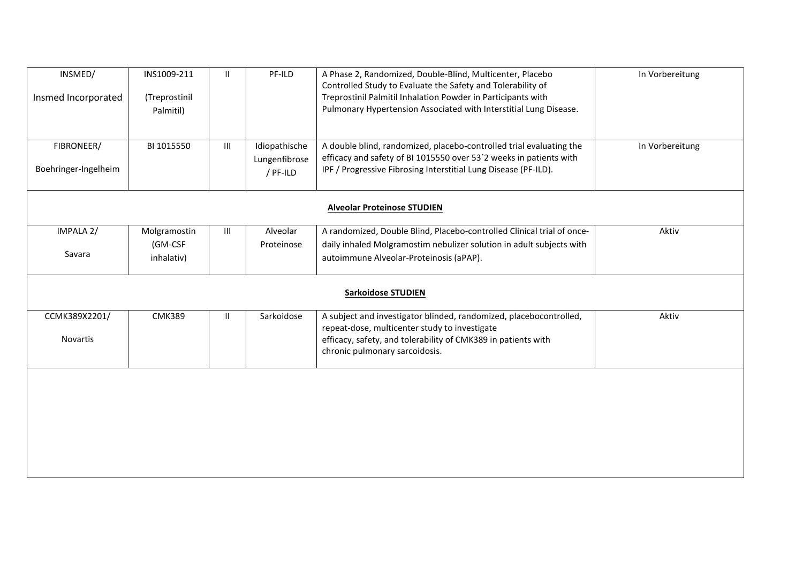| INSMED/                            | INS1009-211   | $\mathbf{H}$ | PF-ILD        | A Phase 2, Randomized, Double-Blind, Multicenter, Placebo<br>Controlled Study to Evaluate the Safety and Tolerability of | In Vorbereitung |  |  |
|------------------------------------|---------------|--------------|---------------|--------------------------------------------------------------------------------------------------------------------------|-----------------|--|--|
| Insmed Incorporated                | (Treprostinil |              |               | Treprostinil Palmitil Inhalation Powder in Participants with                                                             |                 |  |  |
|                                    | Palmitil)     |              |               | Pulmonary Hypertension Associated with Interstitial Lung Disease.                                                        |                 |  |  |
|                                    |               |              |               |                                                                                                                          |                 |  |  |
| FIBRONEER/                         | BI 1015550    | III          | Idiopathische | A double blind, randomized, placebo-controlled trial evaluating the                                                      | In Vorbereitung |  |  |
|                                    |               |              | Lungenfibrose | efficacy and safety of BI 1015550 over 53'2 weeks in patients with                                                       |                 |  |  |
| Boehringer-Ingelheim               |               |              | / PF-ILD      | IPF / Progressive Fibrosing Interstitial Lung Disease (PF-ILD).                                                          |                 |  |  |
|                                    |               |              |               |                                                                                                                          |                 |  |  |
| <b>Alveolar Proteinose STUDIEN</b> |               |              |               |                                                                                                                          |                 |  |  |
| IMPALA 2/                          | Molgramostin  | Ш            | Alveolar      | A randomized, Double Blind, Placebo-controlled Clinical trial of once-                                                   | Aktiv           |  |  |
|                                    | (GM-CSF       |              | Proteinose    | daily inhaled Molgramostim nebulizer solution in adult subjects with                                                     |                 |  |  |
| Savara                             | inhalativ)    |              |               | autoimmune Alveolar-Proteinosis (aPAP).                                                                                  |                 |  |  |
|                                    |               |              |               | <b>Sarkoidose STUDIEN</b>                                                                                                |                 |  |  |
|                                    |               |              |               |                                                                                                                          |                 |  |  |
| CCMK389X2201/                      | <b>CMK389</b> | $\mathbf{H}$ | Sarkoidose    | A subject and investigator blinded, randomized, placebocontrolled,                                                       | Aktiv           |  |  |
|                                    |               |              |               | repeat-dose, multicenter study to investigate                                                                            |                 |  |  |
| Novartis                           |               |              |               | efficacy, safety, and tolerability of CMK389 in patients with<br>chronic pulmonary sarcoidosis.                          |                 |  |  |
|                                    |               |              |               |                                                                                                                          |                 |  |  |
|                                    |               |              |               |                                                                                                                          |                 |  |  |
|                                    |               |              |               |                                                                                                                          |                 |  |  |
|                                    |               |              |               |                                                                                                                          |                 |  |  |
|                                    |               |              |               |                                                                                                                          |                 |  |  |
|                                    |               |              |               |                                                                                                                          |                 |  |  |
|                                    |               |              |               |                                                                                                                          |                 |  |  |
|                                    |               |              |               |                                                                                                                          |                 |  |  |
|                                    |               |              |               |                                                                                                                          |                 |  |  |